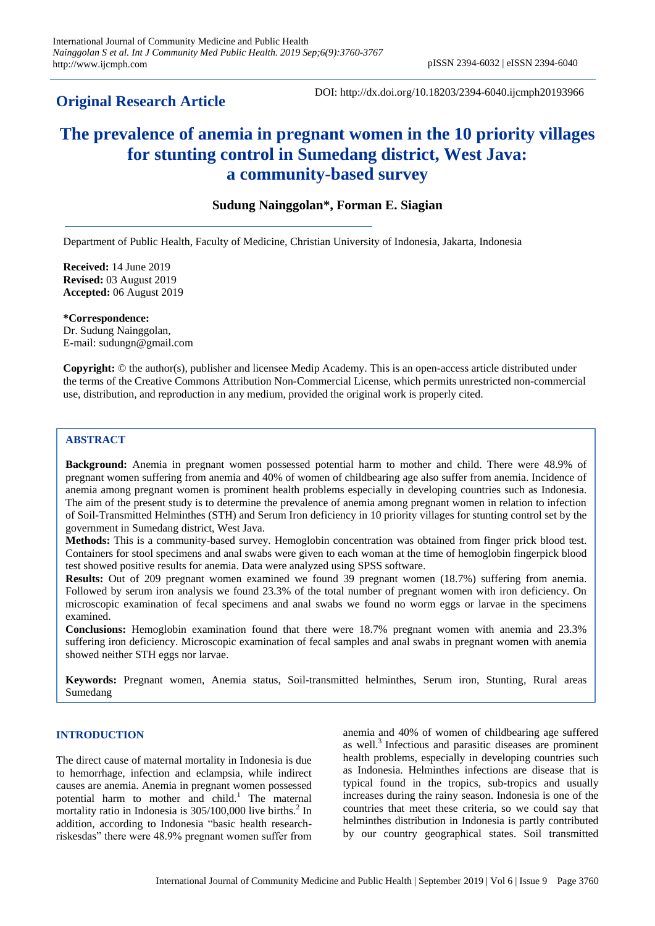## **Original Research Article**

DOI: http://dx.doi.org/10.18203/2394-6040.ijcmph20193966

# **The prevalence of anemia in pregnant women in the 10 priority villages for stunting control in Sumedang district, West Java: a community-based survey**

## **Sudung Nainggolan\*, Forman E. Siagian**

Department of Public Health, Faculty of Medicine, Christian University of Indonesia, Jakarta, Indonesia

**Received:** 14 June 2019 **Revised:** 03 August 2019 **Accepted:** 06 August 2019

**\*Correspondence:** Dr. Sudung Nainggolan, E-mail: sudungn@gmail.com

**Copyright:** © the author(s), publisher and licensee Medip Academy. This is an open-access article distributed under the terms of the Creative Commons Attribution Non-Commercial License, which permits unrestricted non-commercial use, distribution, and reproduction in any medium, provided the original work is properly cited.

## **ABSTRACT**

**Background:** Anemia in pregnant women possessed potential harm to mother and child. There were 48.9% of pregnant women suffering from anemia and 40% of women of childbearing age also suffer from anemia. Incidence of anemia among pregnant women is prominent health problems especially in developing countries such as Indonesia. The aim of the present study is to determine the prevalence of anemia among pregnant women in relation to infection of Soil-Transmitted Helminthes (STH) and Serum Iron deficiency in 10 priority villages for stunting control set by the government in Sumedang district, West Java.

**Methods:** This is a community-based survey. Hemoglobin concentration was obtained from finger prick blood test. Containers for stool specimens and anal swabs were given to each woman at the time of hemoglobin fingerpick blood test showed positive results for anemia. Data were analyzed using SPSS software.

**Results:** Out of 209 pregnant women examined we found 39 pregnant women (18.7%) suffering from anemia. Followed by serum iron analysis we found 23.3% of the total number of pregnant women with iron deficiency. On microscopic examination of fecal specimens and anal swabs we found no worm eggs or larvae in the specimens examined.

**Conclusions:** Hemoglobin examination found that there were 18.7% pregnant women with anemia and 23.3% suffering iron deficiency. Microscopic examination of fecal samples and anal swabs in pregnant women with anemia showed neither STH eggs nor larvae.

**Keywords:** Pregnant women, Anemia status, Soil-transmitted helminthes, Serum iron, Stunting, Rural areas Sumedang

## **INTRODUCTION**

The direct cause of maternal mortality in Indonesia is due to hemorrhage, infection and eclampsia, while indirect causes are anemia. Anemia in pregnant women possessed potential harm to mother and child.<sup>1</sup> The maternal mortality ratio in Indonesia is  $305/100,000$  live births.<sup>2</sup> In addition, according to Indonesia "basic health researchriskesdas" there were 48.9% pregnant women suffer from anemia and 40% of women of childbearing age suffered as well. 3 Infectious and parasitic diseases are prominent health problems, especially in developing countries such as Indonesia. Helminthes infections are disease that is typical found in the tropics, sub-tropics and usually increases during the rainy season. Indonesia is one of the countries that meet these criteria, so we could say that helminthes distribution in Indonesia is partly contributed by our country geographical states. Soil transmitted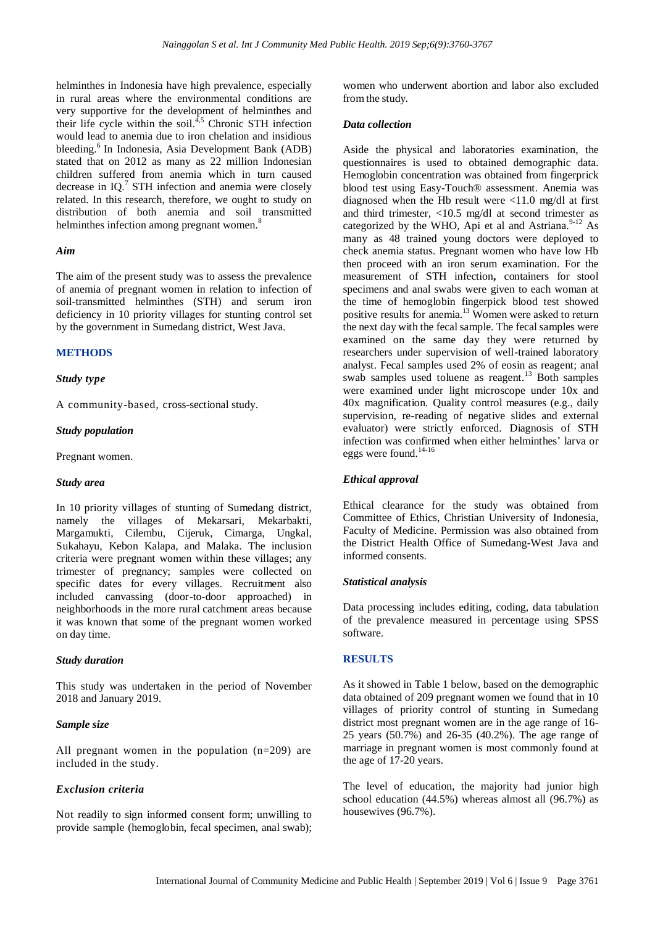helminthes in Indonesia have high prevalence, especially in rural areas where the environmental conditions are very supportive for the development of helminthes and their life cycle within the soil. $4,5$  Chronic STH infection would lead to anemia due to iron chelation and insidious bleeding.<sup>6</sup> In Indonesia, Asia Development Bank (ADB) stated that on 2012 as many as 22 million Indonesian children suffered from anemia which in turn caused decrease in IQ.<sup>7</sup> STH infection and anemia were closely related. In this research, therefore, we ought to study on distribution of both anemia and soil transmitted helminthes infection among pregnant women.<sup>8</sup>

#### *Aim*

The aim of the present study was to assess the prevalence of anemia of pregnant women in relation to infection of soil-transmitted helminthes (STH) and serum iron deficiency in 10 priority villages for stunting control set by the government in Sumedang district, West Java.

#### **METHODS**

#### *Study type*

A community-based, cross-sectional study.

#### *Study population*

Pregnant women.

#### *Study area*

In 10 priority villages of stunting of Sumedang district, namely the villages of Mekarsari, Mekarbakti, Margamukti, Cilembu, Cijeruk, Cimarga, Ungkal, Sukahayu, Kebon Kalapa, and Malaka. The inclusion criteria were pregnant women within these villages; any trimester of pregnancy; samples were collected on specific dates for every villages. Recruitment also included canvassing (door-to-door approached) in neighborhoods in the more rural catchment areas because it was known that some of the pregnant women worked on day time.

#### *Study duration*

This study was undertaken in the period of November 2018 and January 2019.

#### *Sample size*

All pregnant women in the population (n=209) are included in the study.

## *Exclusion criteria*

Not readily to sign informed consent form; unwilling to provide sample (hemoglobin, fecal specimen, anal swab); women who underwent abortion and labor also excluded from the study.

#### *Data collection*

Aside the physical and laboratories examination, the questionnaires is used to obtained demographic data. Hemoglobin concentration was obtained from fingerprick blood test using Easy-Touch® assessment. Anemia was diagnosed when the Hb result were  $\langle 11.0 \text{ mg/d} \rangle$  at first and third trimester, <10.5 mg/dl at second trimester as categorized by the WHO, Api et al and Astriana. $9-12$  As many as 48 trained young doctors were deployed to check anemia status. Pregnant women who have low Hb then proceed with an iron serum examination. For the measurement of STH infection**,** containers for stool specimens and anal swabs were given to each woman at the time of hemoglobin fingerpick blood test showed positive results for anemia.<sup>13</sup> Women were asked to return the next day with the fecal sample. The fecal samples were examined on the same day they were returned by researchers under supervision of well-trained laboratory analyst. Fecal samples used 2% of eosin as reagent; anal swab samples used toluene as reagent.<sup>13</sup> Both samples were examined under light microscope under 10x and 40x magnification. Quality control measures (e.g., daily supervision, re-reading of negative slides and external evaluator) were strictly enforced. Diagnosis of STH infection was confirmed when either helminthes' larva or eggs were found.<sup>14-16</sup>

#### *Ethical approval*

Ethical clearance for the study was obtained from Committee of Ethics, Christian University of Indonesia, Faculty of Medicine. Permission was also obtained from the District Health Office of Sumedang-West Java and informed consents.

#### *Statistical analysis*

Data processing includes editing, coding, data tabulation of the prevalence measured in percentage using SPSS software.

## **RESULTS**

As it showed in Table 1 below, based on the demographic data obtained of 209 pregnant women we found that in 10 villages of priority control of stunting in Sumedang district most pregnant women are in the age range of 16- 25 years (50.7%) and 26-35 (40.2%). The age range of marriage in pregnant women is most commonly found at the age of 17-20 years.

The level of education, the majority had junior high school education (44.5%) whereas almost all (96.7%) as housewives (96.7%).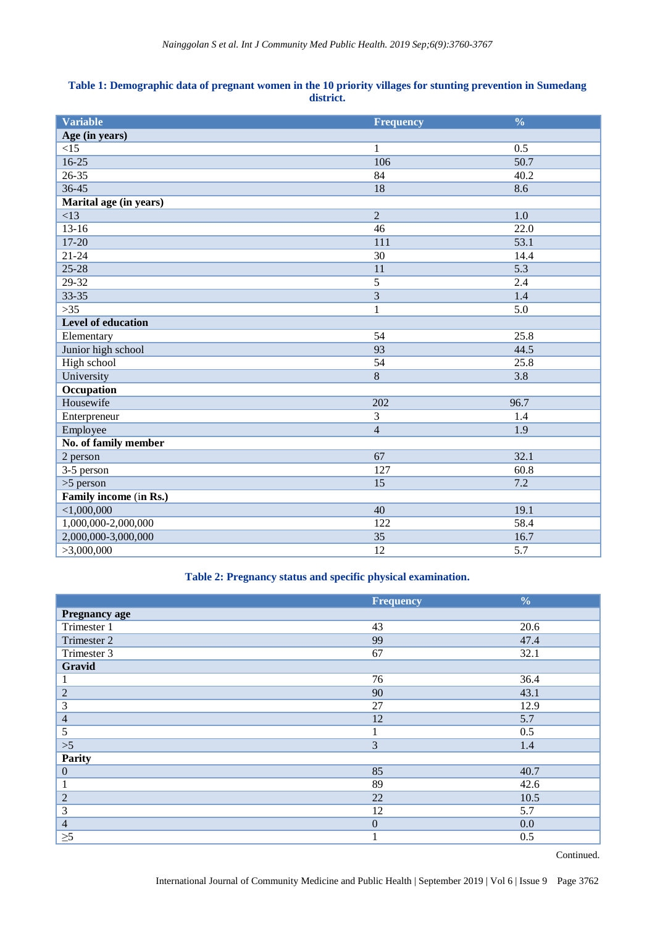## **Table 1: Demographic data of pregnant women in the 10 priority villages for stunting prevention in Sumedang district.**

| <b>Variable</b>           | <b>Frequency</b> | $\frac{0}{0}$     |
|---------------------------|------------------|-------------------|
| Age (in years)            |                  |                   |
| <15                       | $\mathbf{1}$     | 0.5               |
| $16 - 25$                 | 106              | 50.7              |
| $26 - 35$                 | 84               | 40.2              |
| 36-45                     | 18               | 8.6               |
| Marital age (in years)    |                  |                   |
| <13                       | $\overline{2}$   | 1.0               |
| $13-16$                   | 46               | $\overline{22.0}$ |
| 17-20                     | 111              | 53.1              |
| $21 - 24$                 | 30               | 14.4              |
| $25 - 28$                 | 11               | 5.3               |
| $29 - 32$                 | $\overline{5}$   | 2.4               |
| 33-35                     | 3                | 1.4               |
| $>35$                     | $\mathbf{1}$     | 5.0               |
| <b>Level of education</b> |                  |                   |
| Elementary                | 54               | 25.8              |
| Junior high school        | 93               | 44.5              |
| High school               | 54               | 25.8              |
| University                | 8                | 3.8               |
| Occupation                |                  |                   |
| Housewife                 | 202              | 96.7              |
| Enterpreneur              | 3                | 1.4               |
| Employee                  | $\overline{4}$   | 1.9               |
| No. of family member      |                  |                   |
| 2 person                  | 67               | 32.1              |
| 3-5 person                | 127              | 60.8              |
| $>5$ person               | 15               | 7.2               |
| Family income (in Rs.)    |                  |                   |
| $<$ 1,000,000             | 40               | 19.1              |
| 1,000,000-2,000,000       | 122              | 58.4              |
| 2,000,000-3,000,000       | 35               | 16.7              |
| >3,000,000                | 12               | $\overline{5.7}$  |

## **Table 2: Pregnancy status and specific physical examination.**

|                      | <b>Frequency</b> | $\frac{0}{0}$ |
|----------------------|------------------|---------------|
| <b>Pregnancy age</b> |                  |               |
| Trimester 1          | 43               | 20.6          |
| Trimester 2          | 99               | 47.4          |
| Trimester 3          | 67               | 32.1          |
| Gravid               |                  |               |
| $\perp$              | 76               | 36.4          |
| $\sqrt{2}$           | 90               | 43.1          |
| 3                    | 27               | 12.9          |
| $\overline{4}$       | 12               | 5.7           |
| 5                    |                  | 0.5           |
| $>\!\!5$             | $\overline{3}$   | 1.4           |
| Parity               |                  |               |
| $\boldsymbol{0}$     | 85               | 40.7          |
| $\mathbf{1}$         | 89               | 42.6          |
| $\overline{c}$       | 22               | 10.5          |
| 3                    | 12               | 5.7           |
| $\overline{4}$       | $\mathbf{0}$     | 0.0           |
| $\geq 5$             |                  | 0.5           |

Continued.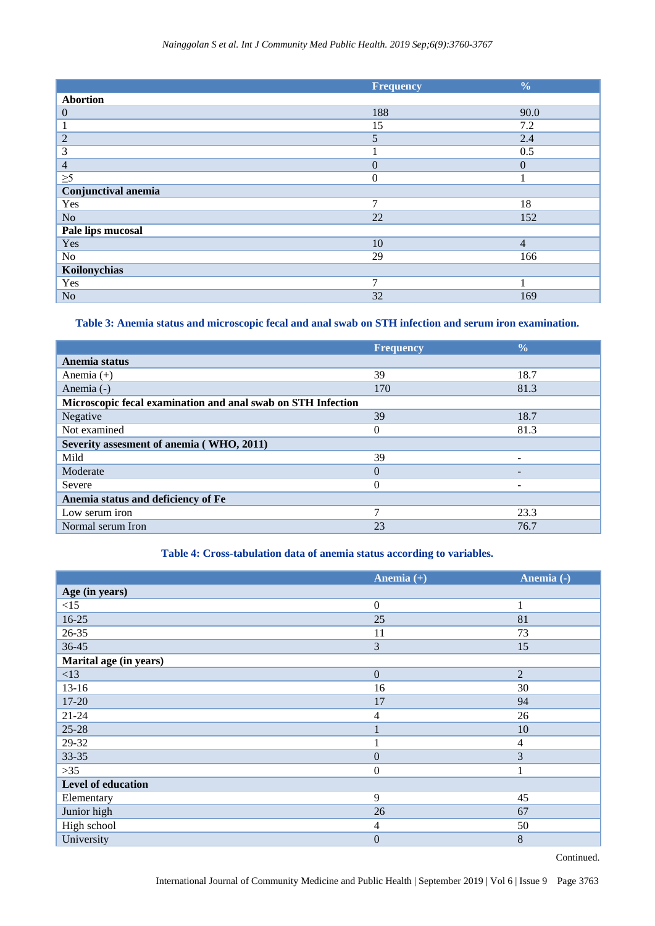|                     | <b>Frequency</b> | $\frac{0}{0}$  |
|---------------------|------------------|----------------|
| <b>Abortion</b>     |                  |                |
| $\mathbf{0}$        | 188              | 90.0           |
|                     | 15               | 7.2            |
| $\overline{2}$      | 5                | 2.4            |
| 3                   |                  | 0.5            |
| $\overline{4}$      | $\overline{0}$   | $\overline{0}$ |
| $\geq 5$            | $\mathbf{0}$     |                |
| Conjunctival anemia |                  |                |
| Yes                 | $\tau$           | 18             |
| N <sub>o</sub>      | 22               | 152            |
| Pale lips mucosal   |                  |                |
| Yes                 | 10               | $\overline{4}$ |
| No                  | 29               | 166            |
| Koilonychias        |                  |                |
| Yes                 | 7                | 1              |
| N <sub>o</sub>      | 32               | 169            |

**Table 3: Anemia status and microscopic fecal and anal swab on STH infection and serum iron examination.**

|                                                              | <b>Frequency</b> | $\frac{0}{0}$ |
|--------------------------------------------------------------|------------------|---------------|
| Anemia status                                                |                  |               |
| Anemia $(+)$                                                 | 39               | 18.7          |
| Anemia (-)                                                   | 170              | 81.3          |
| Microscopic fecal examination and anal swab on STH Infection |                  |               |
| Negative                                                     | 39               | 18.7          |
| Not examined                                                 | $\theta$         | 81.3          |
| Severity assesment of anemia (WHO, 2011)                     |                  |               |
| Mild                                                         | 39               |               |
| Moderate                                                     | $\Omega$         |               |
| Severe                                                       | $\theta$         |               |
| Anemia status and deficiency of Fe                           |                  |               |
| Low serum iron                                               | 7                | 23.3          |
| Normal serum Iron                                            | 23               | 76.7          |

## **Table 4: Cross-tabulation data of anemia status according to variables.**

|                        | Anemia $(+)$   | Anemia (-)     |
|------------------------|----------------|----------------|
| Age (in years)         |                |                |
| $<15$                  | $\mathbf{0}$   |                |
| 16-25                  | 25             | 81             |
| 26-35                  | 11             | 73             |
| 36-45                  | 3              | 15             |
| Marital age (in years) |                |                |
| <13                    | $\overline{0}$ | 2              |
| $13 - 16$              | 16             | 30             |
| 17-20                  | 17             | 94             |
| $21 - 24$              | 4              | 26             |
| $25 - 28$              |                | 10             |
| 29-32                  |                | $\overline{4}$ |
| 33-35                  | $\mathbf{0}$   | 3              |
| $>35$                  | $\mathbf{0}$   | $\mathbf{1}$   |
| Level of education     |                |                |
| Elementary             | 9              | 45             |
| Junior high            | 26             | 67             |
| High school            | $\overline{4}$ | 50             |
| University             | $\mathbf{0}$   | 8              |

Continued.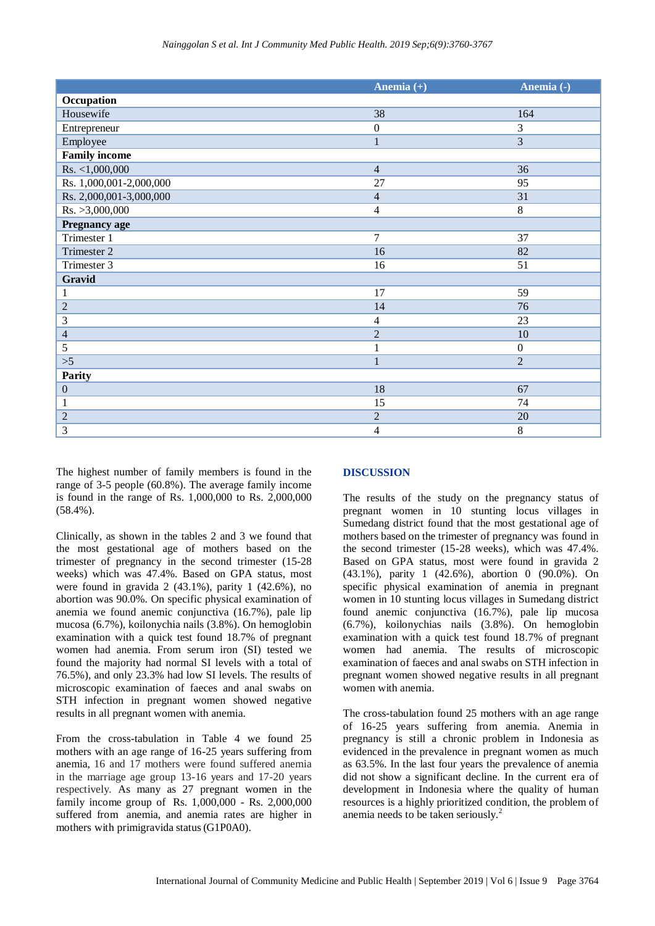|                         | Anemia $(+)$     | Anemia (-)       |
|-------------------------|------------------|------------------|
| Occupation              |                  |                  |
| Housewife               | 38               | 164              |
| Entrepreneur            | $\boldsymbol{0}$ | 3                |
| Employee                | $\mathbf{1}$     | 3                |
| <b>Family income</b>    |                  |                  |
| Rs. <1,000,000          | $\overline{4}$   | 36               |
| Rs. 1,000,001-2,000,000 | 27               | 95               |
| Rs. 2,000,001-3,000,000 | $\overline{4}$   | 31               |
| Rs. >3,000,000          | $\overline{4}$   | $8\,$            |
| Pregnancy age           |                  |                  |
| Trimester 1             | $\overline{7}$   | 37               |
| Trimester 2             | 16               | 82               |
| Trimester 3             | 16               | 51               |
| Gravid                  |                  |                  |
| $\mathbf{1}$            | 17               | 59               |
| $\sqrt{2}$              | 14               | 76               |
| $\mathfrak{Z}$          | $\overline{4}$   | 23               |
| $\overline{4}$          | $\overline{2}$   | 10               |
| $\sqrt{5}$              | $\mathbf{1}$     | $\boldsymbol{0}$ |
| >5                      | $\mathbf{1}$     | $\overline{2}$   |
| Parity                  |                  |                  |
| $\boldsymbol{0}$        | 18               | 67               |
| 1                       | 15               | 74               |
| $\overline{2}$          | $\overline{2}$   | $20\,$           |
| 3                       | $\overline{4}$   | $\,8\,$          |

The highest number of family members is found in the range of 3-5 people (60.8%). The average family income is found in the range of Rs. 1,000,000 to Rs. 2,000,000 (58.4%).

Clinically, as shown in the tables 2 and 3 we found that the most gestational age of mothers based on the trimester of pregnancy in the second trimester (15-28 weeks) which was 47.4%. Based on GPA status, most were found in gravida  $2(43.1\%)$ , parity 1  $(42.6\%)$ , no abortion was 90.0%. On specific physical examination of anemia we found anemic conjunctiva (16.7%), pale lip mucosa (6.7%), koilonychia nails (3.8%). On hemoglobin examination with a quick test found 18.7% of pregnant women had anemia. From serum iron (SI) tested we found the majority had normal SI levels with a total of 76.5%), and only 23.3% had low SI levels. The results of microscopic examination of faeces and anal swabs on STH infection in pregnant women showed negative results in all pregnant women with anemia.

From the cross-tabulation in Table 4 we found 25 mothers with an age range of 16-25 years suffering from anemia, 16 and 17 mothers were found suffered anemia in the marriage age group 13-16 years and 17-20 years respectively. As many as 27 pregnant women in the family income group of Rs. 1,000,000 - Rs. 2,000,000 suffered from anemia, and anemia rates are higher in mothers with primigravida status(G1P0A0).

## **DISCUSSION**

The results of the study on the pregnancy status of pregnant women in 10 stunting locus villages in Sumedang district found that the most gestational age of mothers based on the trimester of pregnancy was found in the second trimester (15-28 weeks), which was 47.4%. Based on GPA status, most were found in gravida 2 (43.1%), parity 1 (42.6%), abortion 0 (90.0%). On specific physical examination of anemia in pregnant women in 10 stunting locus villages in Sumedang district found anemic conjunctiva (16.7%), pale lip mucosa (6.7%), koilonychias nails (3.8%). On hemoglobin examination with a quick test found 18.7% of pregnant women had anemia. The results of microscopic examination of faeces and anal swabs on STH infection in pregnant women showed negative results in all pregnant women with anemia.

The cross-tabulation found 25 mothers with an age range of 16-25 years suffering from anemia. Anemia in pregnancy is still a chronic problem in Indonesia as evidenced in the prevalence in pregnant women as much as 63.5%. In the last four years the prevalence of anemia did not show a significant decline. In the current era of development in Indonesia where the quality of human resources is a highly prioritized condition, the problem of anemia needs to be taken seriously. 2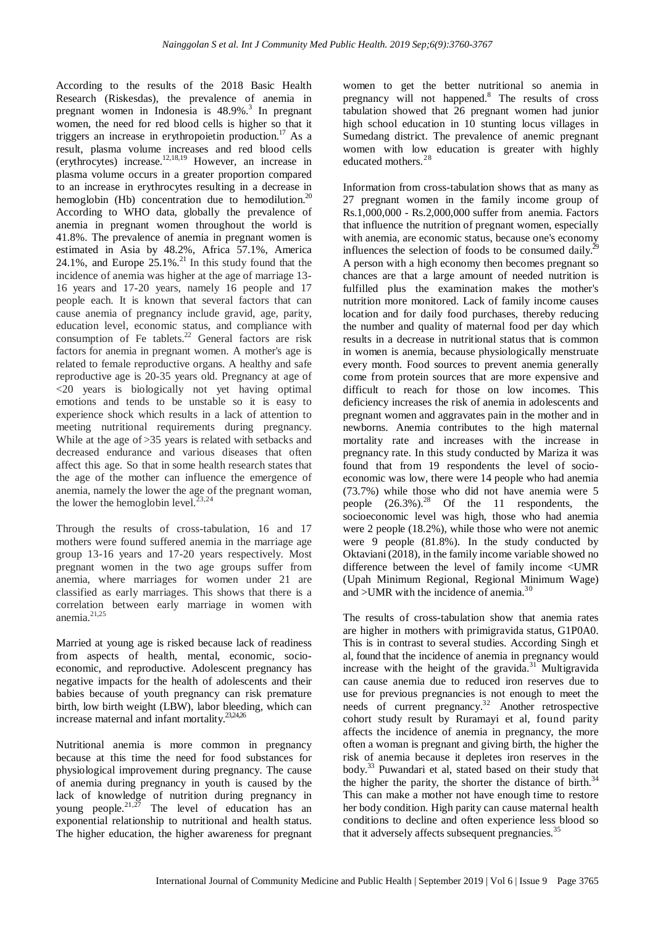According to the results of the 2018 Basic Health Research (Riskesdas), the prevalence of anemia in pregnant women in Indonesia is 48.9%.<sup>3</sup> In pregnant women, the need for red blood cells is higher so that it triggers an increase in erythropoietin production.<sup>17</sup> As a result, plasma volume increases and red blood cells (erythrocytes) increase.12,18,19 However, an increase in plasma volume occurs in a greater proportion compared to an increase in erythrocytes resulting in a decrease in hemoglobin (Hb) concentration due to hemodilution.<sup>20</sup> According to WHO data, globally the prevalence of anemia in pregnant women throughout the world is 41.8%. The prevalence of anemia in pregnant women is estimated in Asia by 48.2%, Africa 57.1%, America 24.1%, and Europe  $25.1\%$ .<sup>21</sup> In this study found that the incidence of anemia was higher at the age of marriage 13- 16 years and 17-20 years, namely 16 people and 17 people each. It is known that several factors that can cause anemia of pregnancy include gravid, age, parity, education level, economic status, and compliance with consumption of Fe tablets.<sup>22</sup> General factors are risk factors for anemia in pregnant women. A mother's age is related to female reproductive organs. A healthy and safe reproductive age is 20-35 years old. Pregnancy at age of <20 years is biologically not yet having optimal emotions and tends to be unstable so it is easy to experience shock which results in a lack of attention to meeting nutritional requirements during pregnancy. While at the age of  $>35$  years is related with setbacks and decreased endurance and various diseases that often affect this age. So that in some health research states that the age of the mother can influence the emergence of anemia, namely the lower the age of the pregnant woman, the lower the hemoglobin level. $^{23,24}$ 

Through the results of cross-tabulation, 16 and 17 mothers were found suffered anemia in the marriage age group 13-16 years and 17-20 years respectively. Most pregnant women in the two age groups suffer from anemia, where marriages for women under 21 are classified as early marriages. This shows that there is a correlation between early marriage in women with anemia. $21,25$ 

Married at young age is risked because lack of readiness from aspects of health, mental, economic, socioeconomic, and reproductive. Adolescent pregnancy has negative impacts for the health of adolescents and their babies because of youth pregnancy can risk premature birth, low birth weight (LBW), labor bleeding, which can increase maternal and infant mortality.23,24,26

Nutritional anemia is more common in pregnancy because at this time the need for food substances for physiological improvement during pregnancy. The cause of anemia during pregnancy in youth is caused by the lack of knowledge of nutrition during pregnancy in young people.<sup>21,27</sup> The level of education has an exponential relationship to nutritional and health status. The higher education, the higher awareness for pregnant women to get the better nutritional so anemia in pregnancy will not happened.<sup>8</sup> The results of cross tabulation showed that 26 pregnant women had junior high school education in 10 stunting locus villages in Sumedang district. The prevalence of anemic pregnant women with low education is greater with highly educated mothers. 28

Information from cross-tabulation shows that as many as 27 pregnant women in the family income group of Rs.1,000,000 - Rs.2,000,000 suffer from anemia. Factors that influence the nutrition of pregnant women, especially with anemia, are economic status, because one's economy influences the selection of foods to be consumed daily.<sup>29</sup> A person with a high economy then becomes pregnant so chances are that a large amount of needed nutrition is fulfilled plus the examination makes the mother's nutrition more monitored. Lack of family income causes location and for daily food purchases, thereby reducing the number and quality of maternal food per day which results in a decrease in nutritional status that is common in women is anemia, because physiologically menstruate every month. Food sources to prevent anemia generally come from protein sources that are more expensive and difficult to reach for those on low incomes. This deficiency increases the risk of anemia in adolescents and pregnant women and aggravates pain in the mother and in newborns. Anemia contributes to the high maternal mortality rate and increases with the increase in pregnancy rate. In this study conducted by Mariza it was found that from 19 respondents the level of socioeconomic was low, there were 14 people who had anemia (73.7%) while those who did not have anemia were 5 people  $(26.3\%)$ .<sup>28</sup> Of the 11 respondents, the socioeconomic level was high, those who had anemia were 2 people (18.2%), while those who were not anemic were 9 people (81.8%). In the study conducted by Oktaviani(2018), in the family income variable showed no difference between the level of family income <UMR (Upah Minimum Regional, Regional Minimum Wage) and >UMR with the incidence of anemia.<sup>30</sup>

The results of cross-tabulation show that anemia rates are higher in mothers with primigravida status, G1P0A0. This is in contrast to several studies. According Singh et al, found that the incidence of anemia in pregnancy would increase with the height of the gravida. <sup>31</sup> Multigravida can cause anemia due to reduced iron reserves due to use for previous pregnancies is not enough to meet the needs of current pregnancy.<sup>32</sup> Another retrospective cohort study result by Ruramayi et al, found parity affects the incidence of anemia in pregnancy, the more often a woman is pregnant and giving birth, the higher the risk of anemia because it depletes iron reserves in the body. <sup>33</sup> Puwandari et al, stated based on their study that the higher the parity, the shorter the distance of birth.<sup>34</sup> This can make a mother not have enough time to restore her body condition. High parity can cause maternal health conditions to decline and often experience less blood so that it adversely affects subsequent pregnancies.<sup>35</sup>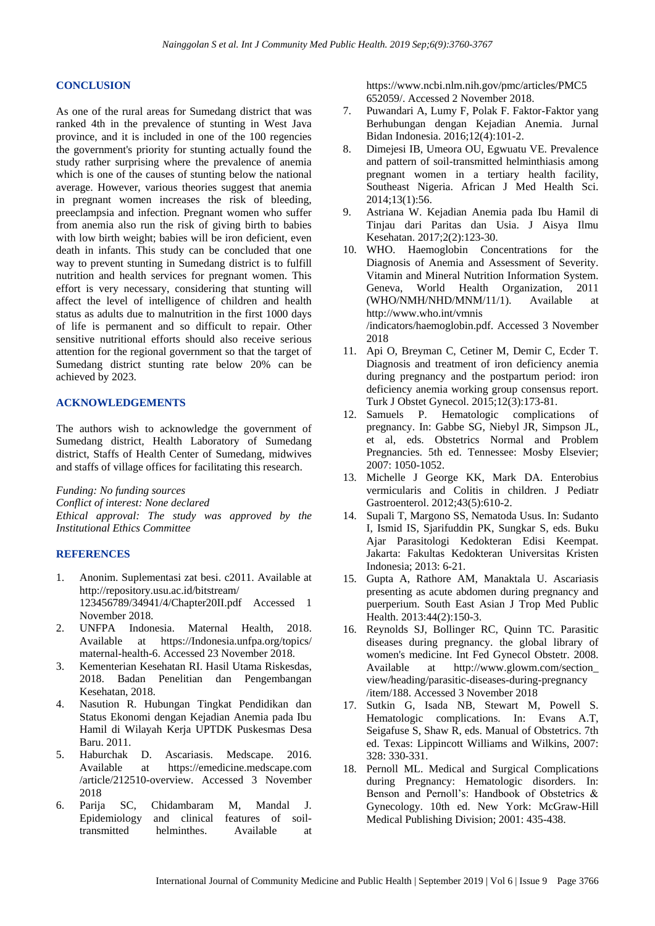#### **CONCLUSION**

As one of the rural areas for Sumedang district that was ranked 4th in the prevalence of stunting in West Java province, and it is included in one of the 100 regencies the government's priority for stunting actually found the study rather surprising where the prevalence of anemia which is one of the causes of stunting below the national average. However, various theories suggest that anemia in pregnant women increases the risk of bleeding, preeclampsia and infection. Pregnant women who suffer from anemia also run the risk of giving birth to babies with low birth weight; babies will be iron deficient, even death in infants. This study can be concluded that one way to prevent stunting in Sumedang district is to fulfill nutrition and health services for pregnant women. This effort is very necessary, considering that stunting will affect the level of intelligence of children and health status as adults due to malnutrition in the first 1000 days of life is permanent and so difficult to repair. Other sensitive nutritional efforts should also receive serious attention for the regional government so that the target of Sumedang district stunting rate below 20% can be achieved by 2023.

## **ACKNOWLEDGEMENTS**

The authors wish to acknowledge the government of Sumedang district, Health Laboratory of Sumedang district, Staffs of Health Center of Sumedang, midwives and staffs of village offices for facilitating this research.

*Funding: No funding sources*

*Conflict of interest: None declared*

*Ethical approval: The study was approved by the Institutional Ethics Committee*

## **REFERENCES**

- 1. Anonim. Suplementasi zat besi. c2011. Available at http://repository.usu.ac.id/bitstream/ 123456789/34941/4/Chapter20II.pdf Accessed 1 November 2018.
- 2. UNFPA Indonesia. Maternal Health, 2018. Available at https://Indonesia.unfpa.org/topics/ maternal-health-6. Accessed 23 November 2018.
- 3. Kementerian Kesehatan RI. Hasil Utama Riskesdas, 2018. Badan Penelitian dan Pengembangan Kesehatan, 2018.
- 4. Nasution R. Hubungan Tingkat Pendidikan dan Status Ekonomi dengan Kejadian Anemia pada Ibu Hamil di Wilayah Kerja UPTDK Puskesmas Desa Baru. 2011.
- 5. Haburchak D. Ascariasis. Medscape. 2016. Available at https://emedicine.medscape.com /article/212510-overview. Accessed 3 November 2018
- 6. Parija SC, Chidambaram M, Mandal J. Epidemiology and clinical features of soiltransmitted helminthes. Available at

https://www.ncbi.nlm.nih.gov/pmc/articles/PMC5 652059/. Accessed 2 November 2018.

- 7. Puwandari A, Lumy F, Polak F. Faktor-Faktor yang Berhubungan dengan Kejadian Anemia. Jurnal Bidan Indonesia. 2016;12(4):101-2.
- 8. Dimejesi IB, Umeora OU, Egwuatu VE. Prevalence and pattern of soil-transmitted helminthiasis among pregnant women in a tertiary health facility, Southeast Nigeria. African J Med Health Sci. 2014;13(1):56.
- 9. Astriana W. Kejadian Anemia pada Ibu Hamil di Tinjau dari Paritas dan Usia. J Aisya Ilmu Kesehatan. 2017;2(2):123-30.
- 10. WHO. Haemoglobin Concentrations for the Diagnosis of Anemia and Assessment of Severity. Vitamin and Mineral Nutrition Information System. Geneva, World Health Organization, 2011 (WHO/NMH/NHD/MNM/11/1). Available at http://www.who.int/vmnis /indicators/haemoglobin.pdf. Accessed 3 November 2018
- 11. Api O, Breyman C, Cetiner M, Demir C, Ecder T. Diagnosis and treatment of iron deficiency anemia during pregnancy and the postpartum period: iron deficiency anemia working group consensus report. Turk J Obstet Gynecol. 2015;12(3):173-81.
- 12. Samuels P. Hematologic complications of pregnancy. In: Gabbe SG, Niebyl JR, Simpson JL, et al, eds. Obstetrics Normal and Problem Pregnancies. 5th ed. Tennessee: Mosby Elsevier; 2007: 1050-1052.
- 13. Michelle J George KK, Mark DA. Enterobius vermicularis and Colitis in children. J Pediatr Gastroenterol. 2012;43(5):610-2.
- 14. Supali T, Margono SS, Nematoda Usus. In: Sudanto I, Ismid IS, Sjarifuddin PK, Sungkar S, eds. Buku Ajar Parasitologi Kedokteran Edisi Keempat. Jakarta: Fakultas Kedokteran Universitas Kristen Indonesia; 2013: 6-21.
- 15. Gupta A, Rathore AM, Manaktala U. Ascariasis presenting as acute abdomen during pregnancy and puerperium. South East Asian J Trop Med Public Health. 2013:44(2):150-3.
- 16. Reynolds SJ, Bollinger RC, Quinn TC. Parasitic diseases during pregnancy. the global library of women's medicine. Int Fed Gynecol Obstetr. 2008. Available at [http://www.glowm.c](http://www.glowm/)om/section\_ view/heading/parasitic-diseases-during-pregnancy /item/188. Accessed 3 November 2018
- 17. Sutkin G, Isada NB, Stewart M, Powell S. Hematologic complications. In: Evans A.T, Seigafuse S, Shaw R, eds. Manual of Obstetrics. 7th ed. Texas: Lippincott Williams and Wilkins, 2007: 328: 330-331.
- 18. Pernoll ML. Medical and Surgical Complications during Pregnancy: Hematologic disorders. In: Benson and Pernoll's: Handbook of Obstetrics & Gynecology. 10th ed. New York: McGraw-Hill Medical Publishing Division; 2001: 435-438.